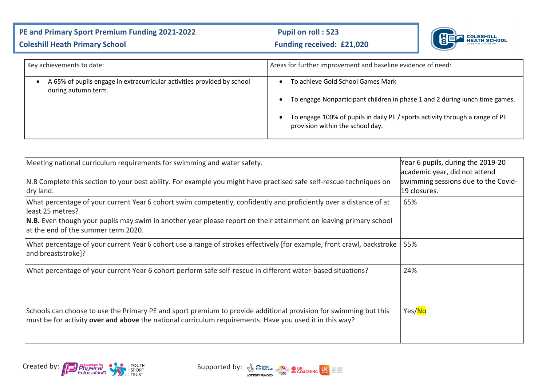## PE and Primary Sport Premium Funding 2021-2022 Pupil on roll : 523 **Coleshill Heath Primary School Coleshill Heath Primary School Funding received: £21,020**



| Key achievements to date:                                                                      | Areas for further improvement and baseline evidence of need:                                                                                                                                                                                      |  |  |
|------------------------------------------------------------------------------------------------|---------------------------------------------------------------------------------------------------------------------------------------------------------------------------------------------------------------------------------------------------|--|--|
| A 65% of pupils engage in extracurricular activities provided by school<br>during autumn term. | To achieve Gold School Games Mark<br>To engage Nonparticipant children in phase 1 and 2 during lunch time games.<br>$\bullet$<br>To engage 100% of pupils in daily PE / sports activity through a range of PE<br>provision within the school day. |  |  |

| Meeting national curriculum requirements for swimming and water safety.                                                                                                                                                                                                                                     | Year 6 pupils, during the 2019-20<br>academic year, did not attend |
|-------------------------------------------------------------------------------------------------------------------------------------------------------------------------------------------------------------------------------------------------------------------------------------------------------------|--------------------------------------------------------------------|
| N.B Complete this section to your best ability. For example you might have practised safe self-rescue techniques on<br>dry land.                                                                                                                                                                            | swimming sessions due to the Covid-<br>19 closures.                |
| What percentage of your current Year 6 cohort swim competently, confidently and proficiently over a distance of at<br>lleast 25 metres?<br><b>N.B.</b> Even though your pupils may swim in another year please report on their attainment on leaving primary school<br>lat the end of the summer term 2020. | 65%                                                                |
| What percentage of your current Year 6 cohort use a range of strokes effectively [for example, front crawl, backstroke<br>and breaststroke]?                                                                                                                                                                | 55%                                                                |
| What percentage of your current Year 6 cohort perform safe self-rescue in different water-based situations?                                                                                                                                                                                                 | 24%                                                                |
| Schools can choose to use the Primary PE and sport premium to provide additional provision for swimming but this<br>must be for activity over and above the national curriculum requirements. Have you used it in this way?                                                                                 | Yes/No                                                             |



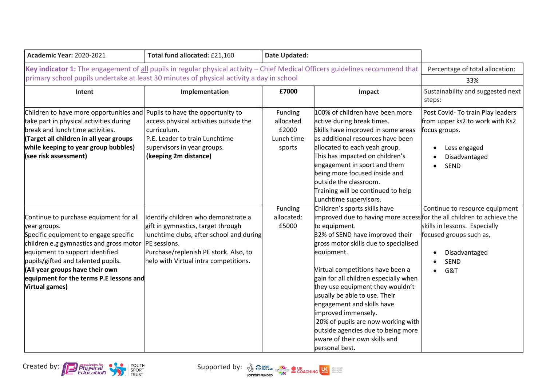| <b>Academic Year: 2020-2021</b>                                                                                                                                                                                                                                                                                     | Total fund allocated: £21,160                                                                                                                                                                                           | <b>Date Updated:</b>                                  |                                                                                                                                                                                                                                                                                                                                                                                                                                                                                                                                                          |                                                                                                                                       |
|---------------------------------------------------------------------------------------------------------------------------------------------------------------------------------------------------------------------------------------------------------------------------------------------------------------------|-------------------------------------------------------------------------------------------------------------------------------------------------------------------------------------------------------------------------|-------------------------------------------------------|----------------------------------------------------------------------------------------------------------------------------------------------------------------------------------------------------------------------------------------------------------------------------------------------------------------------------------------------------------------------------------------------------------------------------------------------------------------------------------------------------------------------------------------------------------|---------------------------------------------------------------------------------------------------------------------------------------|
| Key indicator 1: The engagement of all pupils in regular physical activity - Chief Medical Officers guidelines recommend that<br>primary school pupils undertake at least 30 minutes of physical activity a day in school                                                                                           | Percentage of total allocation:<br>33%                                                                                                                                                                                  |                                                       |                                                                                                                                                                                                                                                                                                                                                                                                                                                                                                                                                          |                                                                                                                                       |
| Intent                                                                                                                                                                                                                                                                                                              | Implementation                                                                                                                                                                                                          | £7000                                                 | Impact                                                                                                                                                                                                                                                                                                                                                                                                                                                                                                                                                   | Sustainability and suggested next<br>steps:                                                                                           |
| Children to have more opportunities and<br>take part in physical activities during<br>break and lunch time activities.<br>Target all children in all year groups<br>while keeping to year group bubbles)<br>(see risk assessment)                                                                                   | Pupils to have the opportunity to<br>access physical activities outside the<br>curriculum.<br>P.E. Leader to train Lunchtime<br>supervisors in year groups.<br>(keeping 2m distance)                                    | Funding<br>allocated<br>£2000<br>Lunch time<br>sports | 100% of children have been more<br>active during break times.<br>Skills have improved in some areas<br>las additional resources have been<br>allocated to each yeah group.<br>This has impacted on children's<br>engagement in sport and them<br>being more focused inside and<br>outside the classroom.<br>Training will be continued to help<br>Lunchtime supervisors.                                                                                                                                                                                 | Post Covid- To train Play leaders<br>from upper ks2 to work with Ks2<br>focus groups.<br>Less engaged<br>Disadvantaged<br><b>SEND</b> |
| Continue to purchase equipment for all<br>year groups.<br>Specific equipment to engage specific<br>children e.g gymnastics and gross motor<br>equipment to support identified<br>pupils/gifted and talented pupils.<br>(All year groups have their own<br>equipment for the terms P.E lessons and<br>Virtual games) | Identify children who demonstrate a<br>gift in gymnastics, target through<br>lunchtime clubs, after school and during<br>PE sessions.<br>Purchase/replenish PE stock. Also, to<br>help with Virtual intra competitions. | Funding<br>allocated:<br>£5000                        | Children's sports skills have<br>improved due to having more access for the all children to achieve the<br>to equipment.<br>32% of SEND have improved their<br>gross motor skills due to specialised<br>equipment.<br>Virtual competitions have been a<br>gain for all children especially when<br>they use equipment they wouldn't<br>usually be able to use. Their<br>engagement and skills have<br>improved immensely.<br>20% of pupils are now working with<br>outside agencies due to being more<br>aware of their own skills and<br>personal best. | Continue to resource equipment<br>skills in lessons. Especially<br>focused groups such as,<br>Disadvantaged<br><b>SEND</b><br>G&T     |



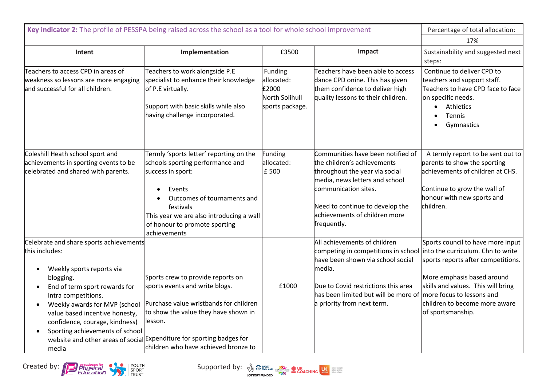| Key indicator 2: The profile of PESSPA being raised across the school as a tool for whole school improvement                                                                                                                                                                                                                                        | Percentage of total allocation:                                                                                                                                                                                                                                                    |                                                                     |                                                                                                                                                                                                                                                           |                                                                                                                                                                                                                                        |
|-----------------------------------------------------------------------------------------------------------------------------------------------------------------------------------------------------------------------------------------------------------------------------------------------------------------------------------------------------|------------------------------------------------------------------------------------------------------------------------------------------------------------------------------------------------------------------------------------------------------------------------------------|---------------------------------------------------------------------|-----------------------------------------------------------------------------------------------------------------------------------------------------------------------------------------------------------------------------------------------------------|----------------------------------------------------------------------------------------------------------------------------------------------------------------------------------------------------------------------------------------|
|                                                                                                                                                                                                                                                                                                                                                     | 17%                                                                                                                                                                                                                                                                                |                                                                     |                                                                                                                                                                                                                                                           |                                                                                                                                                                                                                                        |
| Intent                                                                                                                                                                                                                                                                                                                                              | Implementation                                                                                                                                                                                                                                                                     | £3500                                                               | Impact                                                                                                                                                                                                                                                    | Sustainability and suggested next<br>steps:                                                                                                                                                                                            |
| Teachers to access CPD in areas of<br>weakness so lessons are more engaging<br>and successful for all children.                                                                                                                                                                                                                                     | Teachers to work alongside P.E<br>specialist to enhance their knowledge<br>of P.E virtually.<br>Support with basic skills while also<br>having challenge incorporated.                                                                                                             | Funding<br>allocated:<br>£2000<br>North Solihull<br>sports package. | Teachers have been able to access<br>dance CPD onine. This has given<br>them confidence to deliver high<br>quality lessons to their children.                                                                                                             | Continue to deliver CPD to<br>teachers and support staff.<br>Teachers to have CPD face to face<br>on specific needs.<br>Athletics<br>$\bullet$<br><b>Tennis</b><br>Gymnastics                                                          |
| Coleshill Heath school sport and<br>achievements in sporting events to be<br>celebrated and shared with parents.                                                                                                                                                                                                                                    | Termly 'sports letter' reporting on the<br>schools sporting performance and<br>success in sport:<br>Events<br>Outcomes of tournaments and<br>festivals<br>This year we are also introducing a wall<br>of honour to promote sporting<br>achievements                                | Funding<br>allocated:<br>£ 500                                      | Communities have been notified of<br>the children's achievements<br>throughout the year via social<br>media, news letters and school<br>communication sites.<br>Need to continue to develop the<br>achievements of children more<br>frequently.           | A termly report to be sent out to<br>parents to show the sporting<br>achievements of children at CHS.<br>Continue to grow the wall of<br>honour with new sports and<br>children.                                                       |
| Celebrate and share sports achievements<br>this includes:<br>Weekly sports reports via<br>$\bullet$<br>blogging.<br>End of term sport rewards for<br>intra competitions.<br>Weekly awards for MVP (school<br>$\bullet$<br>value based incentive honesty,<br>confidence, courage, kindness)<br>Sporting achievements of school<br>$\bullet$<br>media | Sports crew to provide reports on<br>sports events and write blogs.<br>Purchase value wristbands for children<br>to show the value they have shown in<br>llesson.<br>website and other areas of social Expenditure for sporting badges for<br>children who have achieved bronze to | £1000                                                               | All achievements of children<br>competing in competitions in school<br>have been shown via school social<br>media.<br>Due to Covid restrictions this area<br>has been limited but will be more of more focus to lessons and<br>a priority from next term. | Sports council to have more input<br>into the curriculum. Chn to write<br>sports reports after competitions.<br>More emphasis based around<br>skills and values. This will bring<br>children to become more aware<br>of sportsmanship. |

Created by: **Contract of the Contract of the Supported by**: **Supported by:**  $\frac{N}{2}$   $\frac{N}{2}$   $\frac{N}{2}$   $\frac{N}{2}$   $\frac{N}{2}$   $\frac{N}{2}$   $\frac{N}{2}$   $\frac{N}{2}$   $\frac{N}{2}$   $\frac{N}{2}$   $\frac{N}{2}$   $\frac{N}{2}$   $\frac{N}{2}$   $\frac{N}{2}$   $\frac{N}{$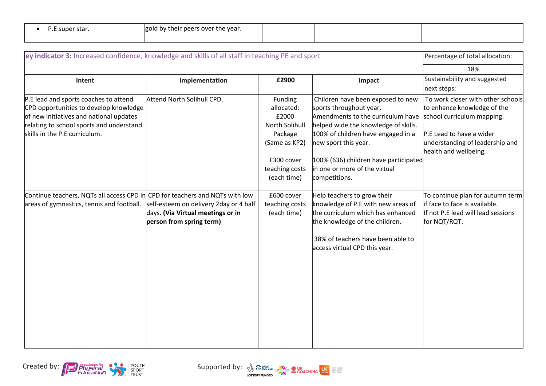|  | P.E super star. |  |
|--|-----------------|--|
|--|-----------------|--|

| ey indicator 3: Increased confidence, knowledge and skills of all staff in teaching PE and sport |                                                                                                         |                               |                                                                                                           | Percentage of total allocation:                                                      |
|--------------------------------------------------------------------------------------------------|---------------------------------------------------------------------------------------------------------|-------------------------------|-----------------------------------------------------------------------------------------------------------|--------------------------------------------------------------------------------------|
|                                                                                                  |                                                                                                         |                               |                                                                                                           | 18%                                                                                  |
| Intent                                                                                           | Implementation                                                                                          | £2900                         | Impact                                                                                                    | Sustainability and suggested                                                         |
|                                                                                                  |                                                                                                         |                               |                                                                                                           | next steps:                                                                          |
| P.E lead and sports coaches to attend                                                            | Attend North Solihull CPD.                                                                              | Funding                       | Children have been exposed to new                                                                         | To work closer with other schools                                                    |
| CPD opportunities to develop knowledge                                                           |                                                                                                         | allocated:                    | sports throughout year.                                                                                   | to enhance knowledge of the                                                          |
| of new initiatives and national updates                                                          |                                                                                                         | £2000                         | Amendments to the curriculum have                                                                         | school curriculum mapping.                                                           |
| relating to school sports and understand                                                         |                                                                                                         | North Solihull                | helped wide the knowledge of skills.                                                                      |                                                                                      |
| skills in the P.E curriculum.                                                                    |                                                                                                         | Package                       | 100% of children have engaged in a                                                                        | P.E Lead to have a wider                                                             |
|                                                                                                  |                                                                                                         | (Same as KP2)                 | new sport this year.                                                                                      | understanding of leadership and<br>health and wellbeing.                             |
|                                                                                                  |                                                                                                         | £300 cover                    | 100% (636) children have participated                                                                     |                                                                                      |
|                                                                                                  |                                                                                                         | teaching costs                | in one or more of the virtual                                                                             |                                                                                      |
|                                                                                                  |                                                                                                         | (each time)                   | competitions.                                                                                             |                                                                                      |
| Continue teachers, NQTs all access CPD in CPD for teachers and NQTs with low                     |                                                                                                         | £600 cover                    | Help teachers to grow their                                                                               | To continue plan for autumn term                                                     |
| areas of gymnastics, tennis and football.                                                        | self-esteem on delivery 2day or 4 half<br>days. (Via Virtual meetings or in<br>person from spring term) | teaching costs<br>(each time) | knowledge of P.E with new areas of<br>the curriculum which has enhanced<br>the knowledge of the children. | lif face to face is available.<br>If not P.E lead will lead sessions<br>for NQT/RQT. |
|                                                                                                  |                                                                                                         |                               | 38% of teachers have been able to<br>access virtual CPD this year.                                        |                                                                                      |
|                                                                                                  |                                                                                                         |                               |                                                                                                           |                                                                                      |
|                                                                                                  |                                                                                                         |                               |                                                                                                           |                                                                                      |
|                                                                                                  |                                                                                                         |                               |                                                                                                           |                                                                                      |
|                                                                                                  |                                                                                                         |                               |                                                                                                           |                                                                                      |
|                                                                                                  |                                                                                                         |                               |                                                                                                           |                                                                                      |